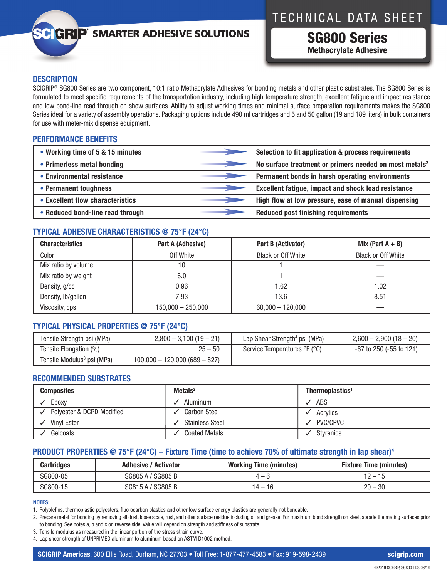## TECHNICAL DATA SHEET

# **GRIP**<sup>'</sup> SMARTER ADHESIVE SOLUTIONS

SG800 Series **Methacrylate Adhesive**

#### **DESCRIPTION**

SCIGRIP® SG800 Series are two component, 10:1 ratio Methacrylate Adhesives for bonding metals and other plastic substrates. The SG800 Series is formulated to meet specific requirements of the transportation industry, including high temperature strength, excellent fatigue and impact resistance and low bond-line read through on show surfaces. Ability to adjust working times and minimal surface preparation requirements makes the SG800 Series ideal for a variety of assembly operations. Packaging options include 490 ml cartridges and 5 and 50 gallon (19 and 189 liters) in bulk containers for use with meter-mix dispense equipment.

#### **PERFORMANCE BENEFITS**

| • Working time of 5 & 15 minutes | Selection to fit application & process requirements                |
|----------------------------------|--------------------------------------------------------------------|
| • Primerless metal bonding       | No surface treatment or primers needed on most metals <sup>2</sup> |
| • Environmental resistance       | Permanent bonds in harsh operating environments                    |
| • Permanent toughness            | <b>Excellent fatigue, impact and shock load resistance</b>         |
| • Excellent flow characteristics | High flow at low pressure, ease of manual dispensing               |
| • Reduced bond-line read through | <b>Reduced post finishing requirements</b>                         |

#### **TYPICAL ADHESIVE CHARACTERISTICS @ 75°F (24°C)**

| <b>Characteristics</b> | Part A (Adhesive)   | Part B (Activator)        | Mix (Part $A + B$ )       |
|------------------------|---------------------|---------------------------|---------------------------|
| Color                  | Off White           | <b>Black or Off White</b> | <b>Black or Off White</b> |
| Mix ratio by volume    | 10                  |                           |                           |
| Mix ratio by weight    | 6.0                 |                           |                           |
| Density, g/cc          | 0.96                | 1.62                      | 0.02                      |
| Density, lb/gallon     | 7.93                | 13.6                      | 8.51                      |
| Viscosity, cps         | $150,000 - 250,000$ | $60,000 - 120,000$        |                           |

### **TYPICAL PHYSICAL PROPERTIES @ 75°F (24°C)**

| Tensile Strength psi (MPa)             | $2,800 - 3,100(19 - 21)$        | Lap Shear Strength <sup>4</sup> psi (MPa) | $2,600 - 2,900(18 - 20)$     |
|----------------------------------------|---------------------------------|-------------------------------------------|------------------------------|
| Tensile Elongation (%)                 | $25 - 50$                       | Service Temperatures °F (°C)              | $-67$ to 250 ( $-55$ to 121) |
| Tensile Modulus <sup>3</sup> psi (MPa) | $100,000 - 120,000 (689 - 827)$ |                                           |                              |

### **RECOMMENDED SUBSTRATES**

| <b>Composites</b>         | $Metals2$              | Thermoplastics <sup>1</sup> |
|---------------------------|------------------------|-----------------------------|
| Epoxy                     | Aluminum               | ABS                         |
| Polyester & DCPD Modified | <b>Carbon Steel</b>    | Acrylics                    |
| Vinyl Ester               | <b>Stainless Steel</b> | PVC/CPVC                    |
| Gelcoats                  | <b>Coated Metals</b>   | Stvrenics                   |

### **PRODUCT PROPERTIES @ 75°F (24°C) – Fixture Time (time to achieve 70% of ultimate strength in lap shear)4**

| <b>Cartridges</b> | <b>Adhesive / Activator</b> | <b>Working Time (minutes)</b> | <b>Fixture Time (minutes)</b> |
|-------------------|-----------------------------|-------------------------------|-------------------------------|
| SG800-05          | SG805 A / SG805 B           | — h                           | 12 – 15                       |
| SG800-15          | SG815 A / SG805 B           | 14 – 16                       | $20 - 30$                     |

#### **NOTES:**

1. Polyolefins, thermoplastic polyesters, fluorocarbon plastics and other low surface energy plastics are generally not bondable.

2. Prepare metal for bonding by removing all dust, loose scale, rust, and other surface residue including oil and grease. For maximum bond strength on steel, abrade the mating surfaces prior to bonding. See notes a, b and c on reverse side. Value will depend on strength and stiffness of substrate.

3. Tensile modulus as measured in the linear portion of the stress strain curve.

4. Lap shear strength of UNPRIMED aluminum to aluminum based on ASTM D1002 method.